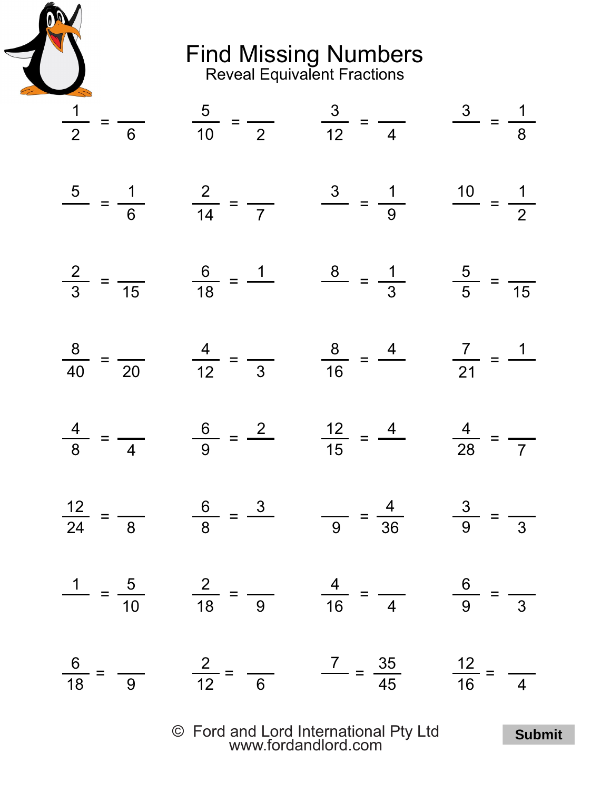

Find Missing Numbers Reveal Equivalent Fractions

| $\frac{1}{2} = \frac{5}{6}$ $\frac{5}{10} = \frac{3}{2}$ $\frac{3}{12} = \frac{3}{4}$ $\frac{3}{8} = \frac{1}{8}$      |  |
|------------------------------------------------------------------------------------------------------------------------|--|
| $\frac{5}{6} = \frac{1}{6}$ $\frac{2}{14} = \frac{3}{7}$ $\frac{1}{9} = \frac{1}{9}$ $\frac{10}{2} = \frac{1}{2}$      |  |
| $\frac{2}{3} = \frac{6}{15}$ $\frac{6}{18} = \frac{1}{18}$ $\frac{8}{5} = \frac{1}{3}$ $\frac{5}{5} = \frac{1}{15}$    |  |
| $\frac{8}{40} = \frac{4}{20}$ $\frac{4}{12} = \frac{4}{3}$ $\frac{8}{16} = \frac{4}{16}$ $\frac{7}{21} = \frac{1}{16}$ |  |
| $\frac{4}{8} = \frac{6}{4} = \frac{6}{9} = \frac{2}{15} = \frac{12}{15} = \frac{4}{28} = \frac{4}{7}$                  |  |
| $\frac{12}{24} = \frac{6}{8} = \frac{3}{9} = \frac{4}{36} = \frac{3}{9} = \frac{4}{3}$                                 |  |
| $\frac{1}{10} = \frac{5}{10}$ $\frac{2}{18} = \frac{1}{9}$ $\frac{4}{16} = \frac{1}{4}$ $\frac{6}{9} = \frac{1}{3}$    |  |
| $\frac{6}{18} = \frac{2}{9}$ $\frac{2}{12} = \frac{7}{6}$ $\frac{35}{45}$ $\frac{12}{16} = \frac{12}{4}$               |  |

© Ford and Lord International Pty Ltd [www.fordandlord.com](http://www.fordandlord.com)

**Submit**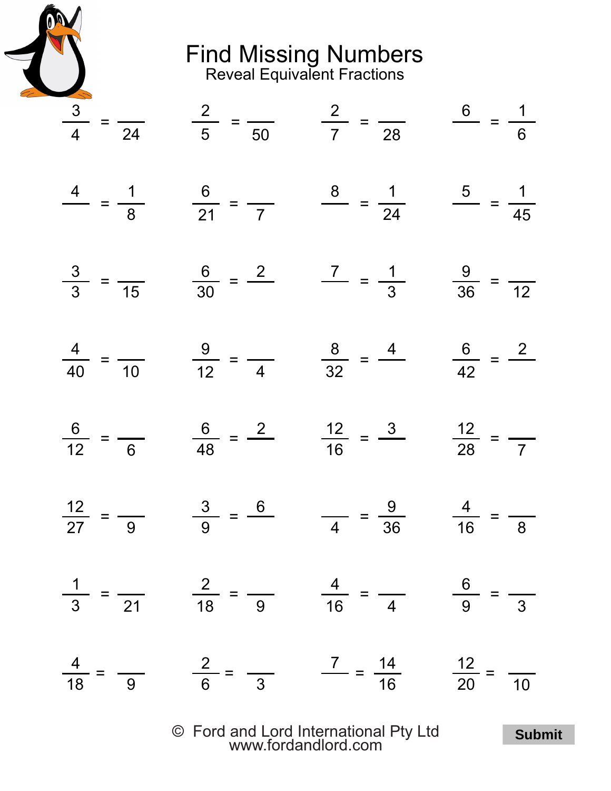

Find Missing Numbers Reveal Equivalent Fractions

| $\frac{3}{4} = \frac{2}{24}$ $\frac{2}{5} = \frac{2}{50}$ $\frac{2}{7} = \frac{6}{28} = \frac{1}{6}$                   |  |
|------------------------------------------------------------------------------------------------------------------------|--|
| $\frac{4}{-2} = \frac{1}{8}$ $\frac{6}{21} = \frac{1}{7}$ $\frac{8}{24} = \frac{1}{24}$ $\frac{5}{45} = \frac{1}{45}$  |  |
| $\frac{3}{3} = \frac{6}{15}$ $\frac{6}{30} = \frac{2}{15}$ $\frac{7}{3} = \frac{1}{3}$ $\frac{9}{36} = \frac{1}{12}$   |  |
| $\frac{4}{40} = \frac{9}{10}$ $\frac{9}{12} = \frac{8}{4}$ $\frac{8}{32} = \frac{4}{42}$ $\frac{6}{42} = \frac{2}{42}$ |  |
| $\frac{6}{12} = \frac{6}{6} = \frac{2}{16} = \frac{12}{16} = \frac{3}{28} = \frac{12}{7}$                              |  |
| $\frac{12}{27} = \frac{3}{9} = \frac{6}{4} = \frac{9}{36} = \frac{4}{16} = \frac{9}{8}$                                |  |
| $\frac{1}{3} = \frac{2}{21}$ $\frac{2}{18} = \frac{4}{9}$ $\frac{4}{16} = \frac{6}{4}$ $\frac{6}{9} = \frac{1}{3}$     |  |
| $\frac{4}{18} = \frac{2}{9}$ $\frac{2}{6} = \frac{7}{3}$ $\frac{14}{16}$ $\frac{12}{20} = \frac{1}{10}$                |  |
|                                                                                                                        |  |

© Ford and Lord International Pty Ltd [www.fordandlord.com](http://www.fordandlord.com)

**Submit**